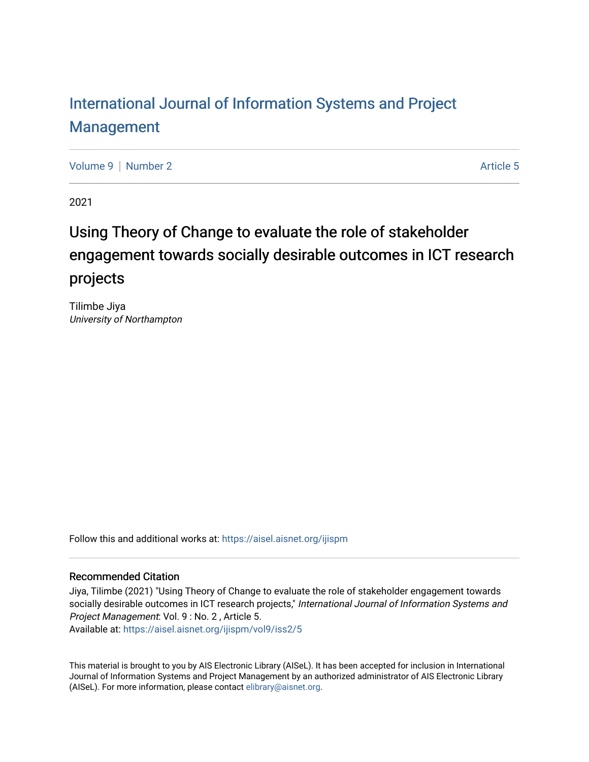# [International Journal of Information Systems and Project](https://aisel.aisnet.org/ijispm)  [Management](https://aisel.aisnet.org/ijispm)

[Volume 9](https://aisel.aisnet.org/ijispm/vol9) | [Number 2](https://aisel.aisnet.org/ijispm/vol9/iss2) Article 5

2021

# Using Theory of Change to evaluate the role of stakeholder engagement towards socially desirable outcomes in ICT research projects

Tilimbe Jiya University of Northampton

Follow this and additional works at: [https://aisel.aisnet.org/ijispm](https://aisel.aisnet.org/ijispm?utm_source=aisel.aisnet.org%2Fijispm%2Fvol9%2Fiss2%2F5&utm_medium=PDF&utm_campaign=PDFCoverPages) 

# Recommended Citation

Jiya, Tilimbe (2021) "Using Theory of Change to evaluate the role of stakeholder engagement towards socially desirable outcomes in ICT research projects," International Journal of Information Systems and Project Management: Vol. 9 : No. 2 , Article 5.

Available at: [https://aisel.aisnet.org/ijispm/vol9/iss2/5](https://aisel.aisnet.org/ijispm/vol9/iss2/5?utm_source=aisel.aisnet.org%2Fijispm%2Fvol9%2Fiss2%2F5&utm_medium=PDF&utm_campaign=PDFCoverPages) 

This material is brought to you by AIS Electronic Library (AISeL). It has been accepted for inclusion in International Journal of Information Systems and Project Management by an authorized administrator of AIS Electronic Library (AISeL). For more information, please contact [elibrary@aisnet.org](mailto:elibrary@aisnet.org%3E).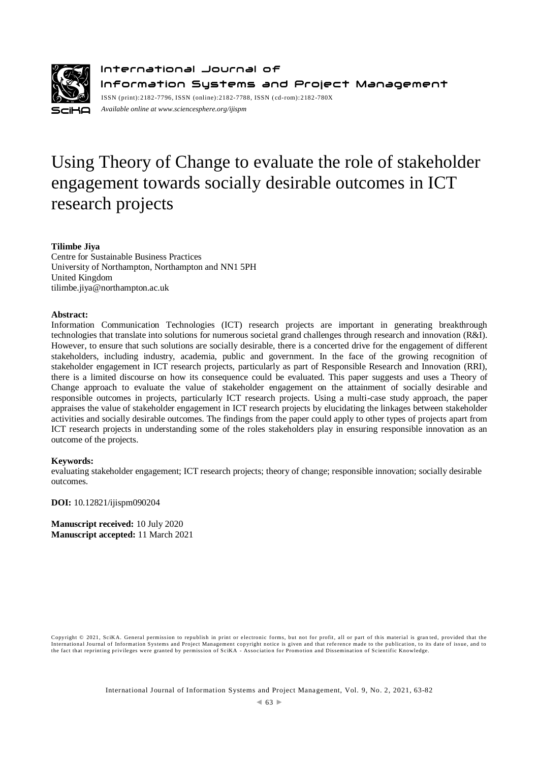

International Journal of Information Systems and Project Management ISSN (print):2182-7796, ISSN (online):2182-7788, ISSN ( cd-rom):2182-780X *Available online a[t www.sciencesphere.org/ijispm](http://www.sciencesphere.org/ijispm)*

# Using Theory of Change to evaluate the role of stakeholder engagement towards socially desirable outcomes in ICT research projects

# **Tilimbe Jiya**

Centre for Sustainable Business Practices University of Northampton, Northampton and NN1 5PH United Kingdom tilimbe.jiya@northampton.ac.uk

#### **Abstract:**

Information Communication Technologies (ICT) research projects are important in generating breakthrough technologies that translate into solutions for numerous societal grand challenges through research and innovation (R&I). However, to ensure that such solutions are socially desirable, there is a concerted drive for the engagement of different stakeholders, including industry, academia, public and government. In the face of the growing recognition of stakeholder engagement in ICT research projects, particularly as part of Responsible Research and Innovation (RRI), there is a limited discourse on how its consequence could be evaluated. This paper suggests and uses a Theory of Change approach to evaluate the value of stakeholder engagement on the attainment of socially desirable and responsible outcomes in projects, particularly ICT research projects. Using a multi-case study approach, the paper appraises the value of stakeholder engagement in ICT research projects by elucidating the linkages between stakeholder activities and socially desirable outcomes. The findings from the paper could apply to other types of projects apart from ICT research projects in understanding some of the roles stakeholders play in ensuring responsible innovation as an outcome of the projects.

#### **Keywords:**

evaluating stakeholder engagement; ICT research projects; theory of change; responsible innovation; socially desirable outcomes.

**DOI:** 10.12821/ijispm090204

**Manuscript received:** 10 July 2020 **Manuscript accepted:** 11 March 2021

Copyright © 2021, SciKA. General permission to republish in print or electronic forms, but not for profit, all or part of this material is granted, provided that the International Journal of Information Systems and Project Management copyright notice is given and that reference made to the publication, to its date of issue, and to<br>the fact that reprinting privileges were granted by per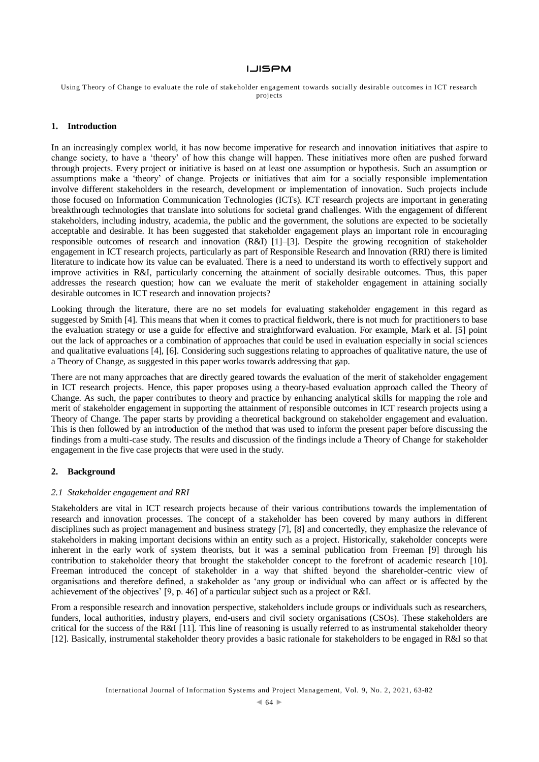Using Theory of Change to evaluate the role of stakeholder engagement towards socially desirable outcomes in ICT research projects

## **1. Introduction**

In an increasingly complex world, it has now become imperative for research and innovation initiatives that aspire to change society, to have a 'theory' of how this change will happen. These initiatives more often are pushed forward through projects. Every project or initiative is based on at least one assumption or hypothesis. Such an assumption or assumptions make a 'theory' of change. Projects or initiatives that aim for a socially responsible implementation involve different stakeholders in the research, development or implementation of innovation. Such projects include those focused on Information Communication Technologies (ICTs). ICT research projects are important in generating breakthrough technologies that translate into solutions for societal grand challenges. With the engagement of different stakeholders, including industry, academia, the public and the government, the solutions are expected to be societally acceptable and desirable. It has been suggested that stakeholder engagement plays an important role in encouraging responsible outcomes of research and innovation (R&I) [1]–[3]. Despite the growing recognition of stakeholder engagement in ICT research projects, particularly as part of Responsible Research and Innovation (RRI) there is limited literature to indicate how its value can be evaluated. There is a need to understand its worth to effectively support and improve activities in R&I, particularly concerning the attainment of socially desirable outcomes. Thus, this paper addresses the research question; how can we evaluate the merit of stakeholder engagement in attaining socially desirable outcomes in ICT research and innovation projects?

Looking through the literature, there are no set models for evaluating stakeholder engagement in this regard as suggested by Smith [4]. This means that when it comes to practical fieldwork, there is not much for practitioners to base the evaluation strategy or use a guide for effective and straightforward evaluation. For example, Mark et al. [5] point out the lack of approaches or a combination of approaches that could be used in evaluation especially in social sciences and qualitative evaluations [4], [6]. Considering such suggestions relating to approaches of qualitative nature, the use of a Theory of Change, as suggested in this paper works towards addressing that gap.

There are not many approaches that are directly geared towards the evaluation of the merit of stakeholder engagement in ICT research projects. Hence, this paper proposes using a theory-based evaluation approach called the Theory of Change. As such, the paper contributes to theory and practice by enhancing analytical skills for mapping the role and merit of stakeholder engagement in supporting the attainment of responsible outcomes in ICT research projects using a Theory of Change. The paper starts by providing a theoretical background on stakeholder engagement and evaluation. This is then followed by an introduction of the method that was used to inform the present paper before discussing the findings from a multi-case study. The results and discussion of the findings include a Theory of Change for stakeholder engagement in the five case projects that were used in the study.

#### **2. Background**

#### *2.1 Stakeholder engagement and RRI*

Stakeholders are vital in ICT research projects because of their various contributions towards the implementation of research and innovation processes. The concept of a stakeholder has been covered by many authors in different disciplines such as project management and business strategy [7], [8] and concertedly, they emphasize the relevance of stakeholders in making important decisions within an entity such as a project. Historically, stakeholder concepts were inherent in the early work of system theorists, but it was a seminal publication from Freeman [9] through his contribution to stakeholder theory that brought the stakeholder concept to the forefront of academic research [10]. Freeman introduced the concept of stakeholder in a way that shifted beyond the shareholder-centric view of organisations and therefore defined, a stakeholder as 'any group or individual who can affect or is affected by the achievement of the objectives' [9, p. 46] of a particular subject such as a project or R&I.

From a responsible research and innovation perspective, stakeholders include groups or individuals such as researchers, funders, local authorities, industry players, end-users and civil society organisations (CSOs). These stakeholders are critical for the success of the R&I [11]. This line of reasoning is usually referred to as instrumental stakeholder theory [12]. Basically, instrumental stakeholder theory provides a basic rationale for stakeholders to be engaged in R&I so that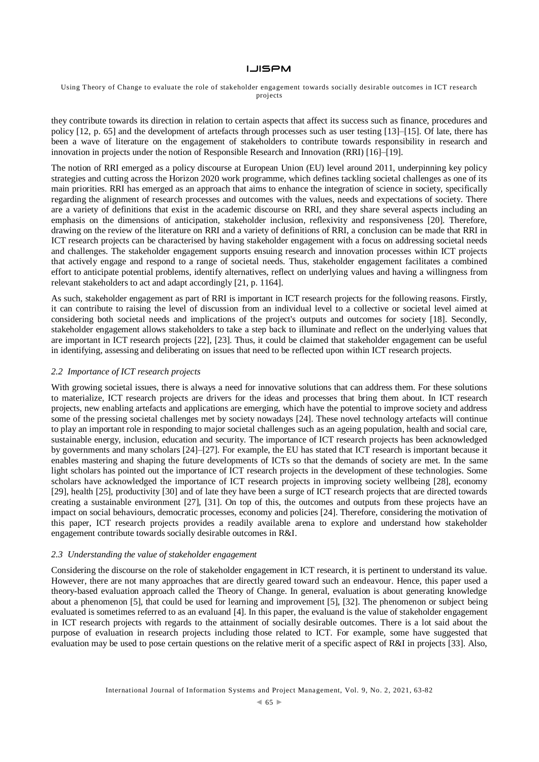#### Using Theory of Change to evaluate the role of stakeholder engagement towards socially desirable outcomes in ICT research projects

they contribute towards its direction in relation to certain aspects that affect its success such as finance, procedures and policy [12, p. 65] and the development of artefacts through processes such as user testing [13]–[15]. Of late, there has been a wave of literature on the engagement of stakeholders to contribute towards responsibility in research and innovation in projects under the notion of Responsible Research and Innovation (RRI) [16]–[19].

The notion of RRI emerged as a policy discourse at European Union (EU) level around 2011, underpinning key policy strategies and cutting across the Horizon 2020 work programme, which defines tackling societal challenges as one of its main priorities. RRI has emerged as an approach that aims to enhance the integration of science in society, specifically regarding the alignment of research processes and outcomes with the values, needs and expectations of society. There are a variety of definitions that exist in the academic discourse on RRI, and they share several aspects including an emphasis on the dimensions of anticipation, stakeholder inclusion, reflexivity and responsiveness [20]. Therefore, drawing on the review of the literature on RRI and a variety of definitions of RRI, a conclusion can be made that RRI in ICT research projects can be characterised by having stakeholder engagement with a focus on addressing societal needs and challenges. The stakeholder engagement supports ensuing research and innovation processes within ICT projects that actively engage and respond to a range of societal needs. Thus, stakeholder engagement facilitates a combined effort to anticipate potential problems, identify alternatives, reflect on underlying values and having a willingness from relevant stakeholders to act and adapt accordingly [21, p. 1164].

As such, stakeholder engagement as part of RRI is important in ICT research projects for the following reasons. Firstly, it can contribute to raising the level of discussion from an individual level to a collective or societal level aimed at considering both societal needs and implications of the project's outputs and outcomes for society [18]. Secondly, stakeholder engagement allows stakeholders to take a step back to illuminate and reflect on the underlying values that are important in ICT research projects [22], [23]. Thus, it could be claimed that stakeholder engagement can be useful in identifying, assessing and deliberating on issues that need to be reflected upon within ICT research projects.

# *2.2 Importance of ICT research projects*

With growing societal issues, there is always a need for innovative solutions that can address them. For these solutions to materialize, ICT research projects are drivers for the ideas and processes that bring them about. In ICT research projects, new enabling artefacts and applications are emerging, which have the potential to improve society and address some of the pressing societal challenges met by society nowadays [24]. These novel technology artefacts will continue to play an important role in responding to major societal challenges such as an ageing population, health and social care, sustainable energy, inclusion, education and security. The importance of ICT research projects has been acknowledged by governments and many scholars [24]–[27]. For example, the EU has stated that ICT research is important because it enables mastering and shaping the future developments of ICTs so that the demands of society are met. In the same light scholars has pointed out the importance of ICT research projects in the development of these technologies. Some scholars have acknowledged the importance of ICT research projects in improving society wellbeing [28], economy [29], health [25], productivity [30] and of late they have been a surge of ICT research projects that are directed towards creating a sustainable environment [27], [31]. On top of this, the outcomes and outputs from these projects have an impact on social behaviours, democratic processes, economy and policies [24]. Therefore, considering the motivation of this paper, ICT research projects provides a readily available arena to explore and understand how stakeholder engagement contribute towards socially desirable outcomes in R&I.

#### *2.3 Understanding the value of stakeholder engagement*

Considering the discourse on the role of stakeholder engagement in ICT research, it is pertinent to understand its value. However, there are not many approaches that are directly geared toward such an endeavour. Hence, this paper used a theory-based evaluation approach called the Theory of Change. In general, evaluation is about generating knowledge about a phenomenon [5], that could be used for learning and improvement [5], [32]. The phenomenon or subject being evaluated is sometimes referred to as an evaluand [4]. In this paper, the evaluand is the value of stakeholder engagement in ICT research projects with regards to the attainment of socially desirable outcomes. There is a lot said about the purpose of evaluation in research projects including those related to ICT. For example, some have suggested that evaluation may be used to pose certain questions on the relative merit of a specific aspect of R&I in projects [33]. Also,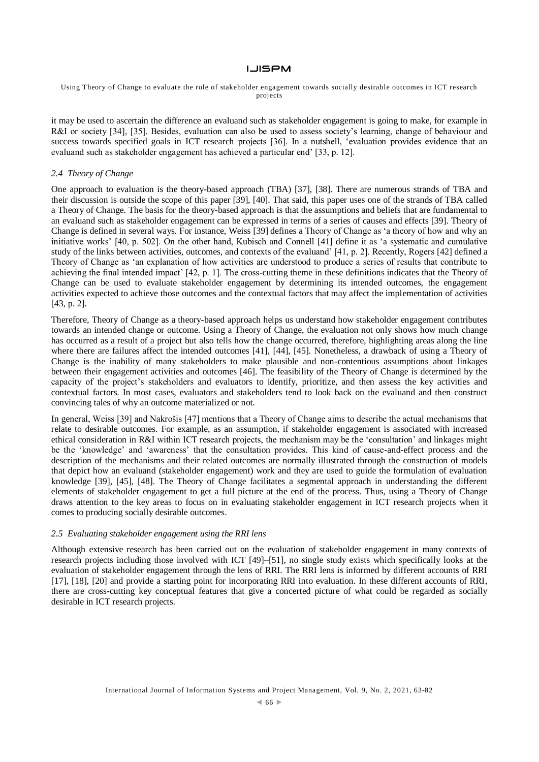#### Using Theory of Change to evaluate the role of stakeholder engagement towards socially desirable outcomes in ICT research projects

it may be used to ascertain the difference an evaluand such as stakeholder engagement is going to make, for example in R&I or society [34], [35]. Besides, evaluation can also be used to assess society's learning, change of behaviour and success towards specified goals in ICT research projects [36]. In a nutshell, 'evaluation provides evidence that an evaluand such as stakeholder engagement has achieved a particular end' [33, p. 12].

# *2.4 Theory of Change*

One approach to evaluation is the theory-based approach (TBA) [37], [38]. There are numerous strands of TBA and their discussion is outside the scope of this paper [39], [40]. That said, this paper uses one of the strands of TBA called a Theory of Change. The basis for the theory-based approach is that the assumptions and beliefs that are fundamental to an evaluand such as stakeholder engagement can be expressed in terms of a series of causes and effects [39]. Theory of Change is defined in several ways. For instance, Weiss [39] defines a Theory of Change as 'a theory of how and why an initiative works' [40, p. 502]. On the other hand, Kubisch and Connell [41] define it as 'a systematic and cumulative study of the links between activities, outcomes, and contexts of the evaluand' [41, p. 2]. Recently, Rogers [42] defined a Theory of Change as 'an explanation of how activities are understood to produce a series of results that contribute to achieving the final intended impact' [42, p. 1]. The cross-cutting theme in these definitions indicates that the Theory of Change can be used to evaluate stakeholder engagement by determining its intended outcomes, the engagement activities expected to achieve those outcomes and the contextual factors that may affect the implementation of activities [43, p. 2].

Therefore, Theory of Change as a theory-based approach helps us understand how stakeholder engagement contributes towards an intended change or outcome. Using a Theory of Change, the evaluation not only shows how much change has occurred as a result of a project but also tells how the change occurred, therefore, highlighting areas along the line where there are failures affect the intended outcomes [41], [44], [45]. Nonetheless, a drawback of using a Theory of Change is the inability of many stakeholders to make plausible and non-contentious assumptions about linkages between their engagement activities and outcomes [46]. The feasibility of the Theory of Change is determined by the capacity of the project's stakeholders and evaluators to identify, prioritize, and then assess the key activities and contextual factors. In most cases, evaluators and stakeholders tend to look back on the evaluand and then construct convincing tales of why an outcome materialized or not.

In general, Weiss [39] and Nakrošis [47] mentions that a Theory of Change aims to describe the actual mechanisms that relate to desirable outcomes. For example, as an assumption, if stakeholder engagement is associated with increased ethical consideration in R&I within ICT research projects, the mechanism may be the 'consultation' and linkages might be the 'knowledge' and 'awareness' that the consultation provides. This kind of cause-and-effect process and the description of the mechanisms and their related outcomes are normally illustrated through the construction of models that depict how an evaluand (stakeholder engagement) work and they are used to guide the formulation of evaluation knowledge [39], [45], [48]. The Theory of Change facilitates a segmental approach in understanding the different elements of stakeholder engagement to get a full picture at the end of the process. Thus, using a Theory of Change draws attention to the key areas to focus on in evaluating stakeholder engagement in ICT research projects when it comes to producing socially desirable outcomes.

#### *2.5 Evaluating stakeholder engagement using the RRI lens*

Although extensive research has been carried out on the evaluation of stakeholder engagement in many contexts of research projects including those involved with ICT [49]–[51], no single study exists which specifically looks at the evaluation of stakeholder engagement through the lens of RRI. The RRI lens is informed by different accounts of RRI [17], [18], [20] and provide a starting point for incorporating RRI into evaluation. In these different accounts of RRI, there are cross-cutting key conceptual features that give a concerted picture of what could be regarded as socially desirable in ICT research projects.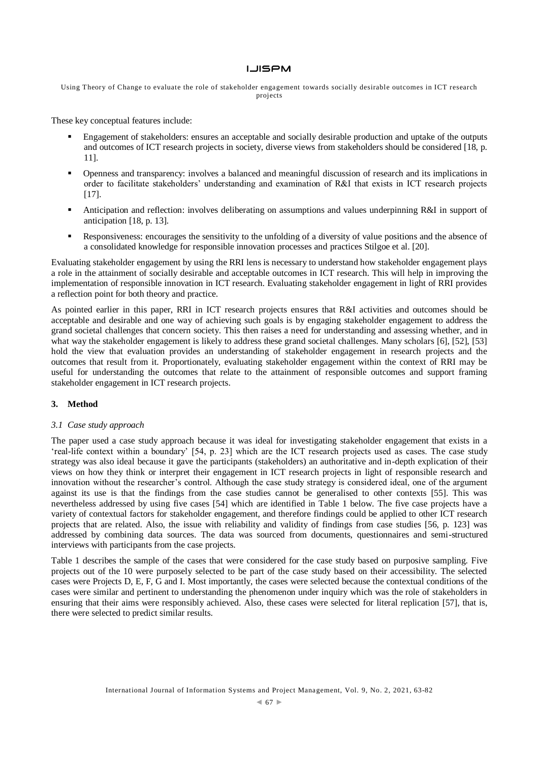Using Theory of Change to evaluate the role of stakeholder engagement towards socially desirable outcomes in ICT research projects

These key conceptual features include:

- Engagement of stakeholders: ensures an acceptable and socially desirable production and uptake of the outputs and outcomes of ICT research projects in society, diverse views from stakeholders should be considered [18, p. 11].
- Openness and transparency: involves a balanced and meaningful discussion of research and its implications in order to facilitate stakeholders' understanding and examination of R&I that exists in ICT research projects [17].
- Anticipation and reflection: involves deliberating on assumptions and values underpinning R&I in support of anticipation [18, p. 13].
- Responsiveness: encourages the sensitivity to the unfolding of a diversity of value positions and the absence of a consolidated knowledge for responsible innovation processes and practices Stilgoe et al. [20].

Evaluating stakeholder engagement by using the RRI lens is necessary to understand how stakeholder engagement plays a role in the attainment of socially desirable and acceptable outcomes in ICT research. This will help in improving the implementation of responsible innovation in ICT research. Evaluating stakeholder engagement in light of RRI provides a reflection point for both theory and practice.

As pointed earlier in this paper, RRI in ICT research projects ensures that R&I activities and outcomes should be acceptable and desirable and one way of achieving such goals is by engaging stakeholder engagement to address the grand societal challenges that concern society. This then raises a need for understanding and assessing whether, and in what way the stakeholder engagement is likely to address these grand societal challenges. Many scholars [6], [52], [53] hold the view that evaluation provides an understanding of stakeholder engagement in research projects and the outcomes that result from it. Proportionately, evaluating stakeholder engagement within the context of RRI may be useful for understanding the outcomes that relate to the attainment of responsible outcomes and support framing stakeholder engagement in ICT research projects.

## **3. Method**

## *3.1 Case study approach*

The paper used a case study approach because it was ideal for investigating stakeholder engagement that exists in a 'real-life context within a boundary' [54, p. 23] which are the ICT research projects used as cases. The case study strategy was also ideal because it gave the participants (stakeholders) an authoritative and in-depth explication of their views on how they think or interpret their engagement in ICT research projects in light of responsible research and innovation without the researcher's control. Although the case study strategy is considered ideal, one of the argument against its use is that the findings from the case studies cannot be generalised to other contexts [55]. This was nevertheless addressed by using five cases [54] which are identified in Table 1 below. The five case projects have a variety of contextual factors for stakeholder engagement, and therefore findings could be applied to other ICT research projects that are related. Also, the issue with reliability and validity of findings from case studies [56, p. 123] was addressed by combining data sources. The data was sourced from documents, questionnaires and semi-structured interviews with participants from the case projects.

Table 1 describes the sample of the cases that were considered for the case study based on purposive sampling. Five projects out of the 10 were purposely selected to be part of the case study based on their accessibility. The selected cases were Projects D, E, F, G and I. Most importantly, the cases were selected because the contextual conditions of the cases were similar and pertinent to understanding the phenomenon under inquiry which was the role of stakeholders in ensuring that their aims were responsibly achieved. Also, these cases were selected for literal replication [57], that is, there were selected to predict similar results.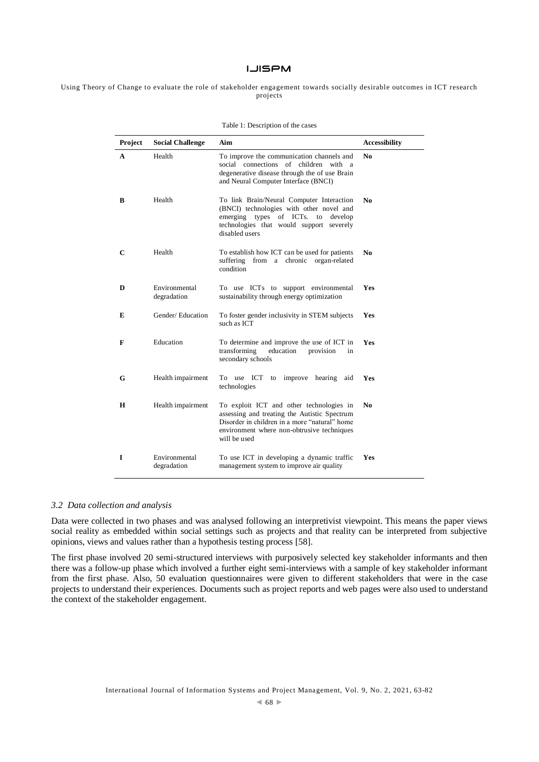Using Theory of Change to evaluate the role of stakeholder engagement towards socially desirable outcomes in ICT research projects

Table 1: Description of the cases

| Project     | <b>Social Challenge</b>      | Aim                                                                                                                                                                                                     | <b>Accessibility</b> |
|-------------|------------------------------|---------------------------------------------------------------------------------------------------------------------------------------------------------------------------------------------------------|----------------------|
| A           | Health                       | To improve the communication channels and<br>social connections of children with a<br>degenerative disease through the of use Brain<br>and Neural Computer Interface (BNCI)                             | No.                  |
| B           | Health                       | To link Brain/Neural Computer Interaction<br>(BNCI) technologies with other novel and<br>emerging types of ICTs.<br>develop<br>to<br>technologies that would support<br>severely<br>disabled users      | No                   |
| $\mathbf C$ | Health                       | To establish how ICT can be used for patients<br>suffering from a chronic organ-related<br>condition                                                                                                    | No.                  |
| D           | Environmental<br>degradation | To use ICTs to support environmental<br>sustainability through energy optimization                                                                                                                      | Yes                  |
| E           | Gender/Education             | To foster gender inclusivity in STEM subjects<br>such as ICT                                                                                                                                            | Yes                  |
| F           | Education                    | To determine and improve the use of ICT in<br>transforming<br>education<br>provision<br>in<br>secondary schools                                                                                         | Yes                  |
| G           | Health impairment            | improve hearing<br>To use ICT<br>aid<br>to<br>technologies                                                                                                                                              | Yes                  |
| н           | Health impairment            | To exploit ICT and other technologies in<br>assessing and treating the Autistic Spectrum<br>Disorder in children in a more "natural" home<br>environment where non-obtrusive techniques<br>will be used | No.                  |
| I           | Environmental<br>degradation | To use ICT in developing a dynamic traffic<br>management system to improve air quality                                                                                                                  | <b>Yes</b>           |

#### *3.2 Data collection and analysis*

Data were collected in two phases and was analysed following an interpretivist viewpoint. This means the paper views social reality as embedded within social settings such as projects and that reality can be interpreted from subjective opinions, views and values rather than a hypothesis testing process [58].

The first phase involved 20 semi-structured interviews with purposively selected key stakeholder informants and then there was a follow-up phase which involved a further eight semi-interviews with a sample of key stakeholder informant from the first phase. Also, 50 evaluation questionnaires were given to different stakeholders that were in the case projects to understand their experiences. Documents such as project reports and web pages were also used to understand the context of the stakeholder engagement.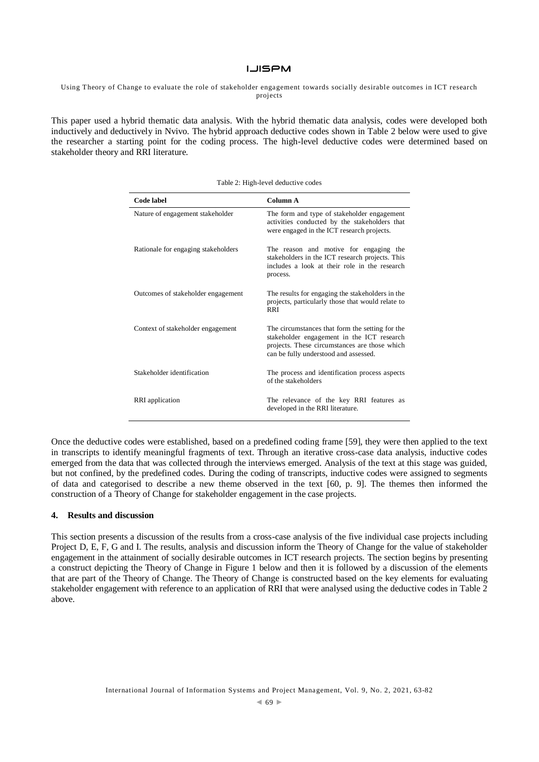#### Using Theory of Change to evaluate the role of stakeholder engagement towards socially desirable outcomes in ICT research projects

This paper used a hybrid thematic data analysis. With the hybrid thematic data analysis, codes were developed both inductively and deductively in Nvivo. The hybrid approach deductive codes shown in Table 2 below were used to give the researcher a starting point for the coding process. The high-level deductive codes were determined based on stakeholder theory and RRI literature.

| <b>Code label</b>                   | Column A                                                                                                                                                                                |  |
|-------------------------------------|-----------------------------------------------------------------------------------------------------------------------------------------------------------------------------------------|--|
| Nature of engagement stakeholder    | The form and type of stakeholder engagement<br>activities conducted by the stakeholders that<br>were engaged in the ICT research projects.                                              |  |
| Rationale for engaging stakeholders | The reason and motive for engaging the<br>stakeholders in the ICT research projects. This<br>includes a look at their role in the research<br>process.                                  |  |
| Outcomes of stakeholder engagement  | The results for engaging the stakeholders in the<br>projects, particularly those that would relate to<br><b>RRI</b>                                                                     |  |
| Context of stakeholder engagement   | The circumstances that form the setting for the<br>stakeholder engagement in the ICT research<br>projects. These circumstances are those which<br>can be fully understood and assessed. |  |
| Stakeholder identification          | The process and identification process aspects<br>of the stakeholders                                                                                                                   |  |
| RRI application                     | The relevance of the key RRI features as<br>developed in the RRI literature.                                                                                                            |  |

Table 2: High-level deductive codes

Once the deductive codes were established, based on a predefined coding frame [59], they were then applied to the text in transcripts to identify meaningful fragments of text. Through an iterative cross-case data analysis, inductive codes emerged from the data that was collected through the interviews emerged. Analysis of the text at this stage was guided, but not confined, by the predefined codes. During the coding of transcripts, inductive codes were assigned to segments of data and categorised to describe a new theme observed in the text [60, p. 9]. The themes then informed the construction of a Theory of Change for stakeholder engagement in the case projects.

## **4. Results and discussion**

This section presents a discussion of the results from a cross-case analysis of the five individual case projects including Project D, E, F, G and I. The results, analysis and discussion inform the Theory of Change for the value of stakeholder engagement in the attainment of socially desirable outcomes in ICT research projects. The section begins by presenting a construct depicting the Theory of Change in Figure 1 below and then it is followed by a discussion of the elements that are part of the Theory of Change. The Theory of Change is constructed based on the key elements for evaluating stakeholder engagement with reference to an application of RRI that were analysed using the deductive codes in Table 2 above.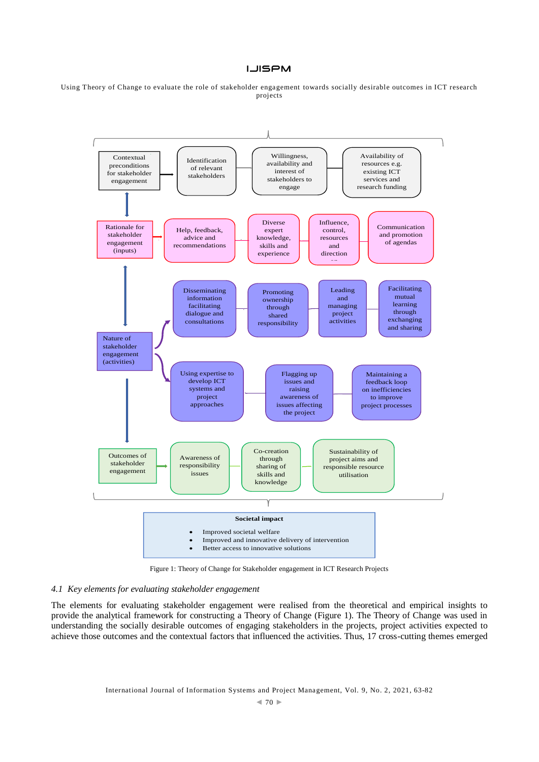Using Theory of Change to evaluate the role of stakeholder engagement towards socially desirable outcomes in ICT research projects



Figure 1: Theory of Change for Stakeholder engagement in ICT Research Projects

# *4.1 Key elements for evaluating stakeholder engagement*

The elements for evaluating stakeholder engagement were realised from the theoretical and empirical insights to provide the analytical framework for constructing a Theory of Change (Figure 1). The Theory of Change was used in understanding the socially desirable outcomes of engaging stakeholders in the projects, project activities expected to achieve those outcomes and the contextual factors that influenced the activities. Thus, 17 cross-cutting themes emerged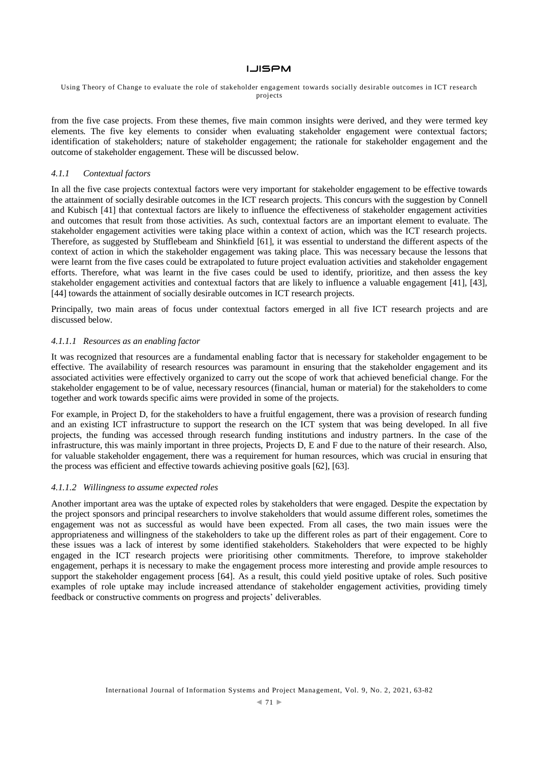## **LJISPM**

#### Using Theory of Change to evaluate the role of stakeholder engagement towards socially desirable outcomes in ICT research projects

from the five case projects. From these themes, five main common insights were derived, and they were termed key elements. The five key elements to consider when evaluating stakeholder engagement were contextual factors; identification of stakeholders; nature of stakeholder engagement; the rationale for stakeholder engagement and the outcome of stakeholder engagement. These will be discussed below.

# *4.1.1 Contextual factors*

In all the five case projects contextual factors were very important for stakeholder engagement to be effective towards the attainment of socially desirable outcomes in the ICT research projects. This concurs with the suggestion by Connell and Kubisch [41] that contextual factors are likely to influence the effectiveness of stakeholder engagement activities and outcomes that result from those activities. As such, contextual factors are an important element to evaluate. The stakeholder engagement activities were taking place within a context of action, which was the ICT research projects. Therefore, as suggested by Stufflebeam and Shinkfield [61], it was essential to understand the different aspects of the context of action in which the stakeholder engagement was taking place. This was necessary because the lessons that were learnt from the five cases could be extrapolated to future project evaluation activities and stakeholder engagement efforts. Therefore, what was learnt in the five cases could be used to identify, prioritize, and then assess the key stakeholder engagement activities and contextual factors that are likely to influence a valuable engagement [41], [43], [44] towards the attainment of socially desirable outcomes in ICT research projects.

Principally, two main areas of focus under contextual factors emerged in all five ICT research projects and are discussed below.

## *4.1.1.1 Resources as an enabling factor*

It was recognized that resources are a fundamental enabling factor that is necessary for stakeholder engagement to be effective. The availability of research resources was paramount in ensuring that the stakeholder engagement and its associated activities were effectively organized to carry out the scope of work that achieved beneficial change. For the stakeholder engagement to be of value, necessary resources (financial, human or material) for the stakeholders to come together and work towards specific aims were provided in some of the projects.

For example, in Project D, for the stakeholders to have a fruitful engagement, there was a provision of research funding and an existing ICT infrastructure to support the research on the ICT system that was being developed. In all five projects, the funding was accessed through research funding institutions and industry partners. In the case of the infrastructure, this was mainly important in three projects, Projects D, E and F due to the nature of their research. Also, for valuable stakeholder engagement, there was a requirement for human resources, which was crucial in ensuring that the process was efficient and effective towards achieving positive goals [62], [63].

## *4.1.1.2 Willingness to assume expected roles*

Another important area was the uptake of expected roles by stakeholders that were engaged. Despite the expectation by the project sponsors and principal researchers to involve stakeholders that would assume different roles, sometimes the engagement was not as successful as would have been expected. From all cases, the two main issues were the appropriateness and willingness of the stakeholders to take up the different roles as part of their engagement. Core to these issues was a lack of interest by some identified stakeholders. Stakeholders that were expected to be highly engaged in the ICT research projects were prioritising other commitments. Therefore, to improve stakeholder engagement, perhaps it is necessary to make the engagement process more interesting and provide ample resources to support the stakeholder engagement process [64]. As a result, this could yield positive uptake of roles. Such positive examples of role uptake may include increased attendance of stakeholder engagement activities, providing timely feedback or constructive comments on progress and projects' deliverables.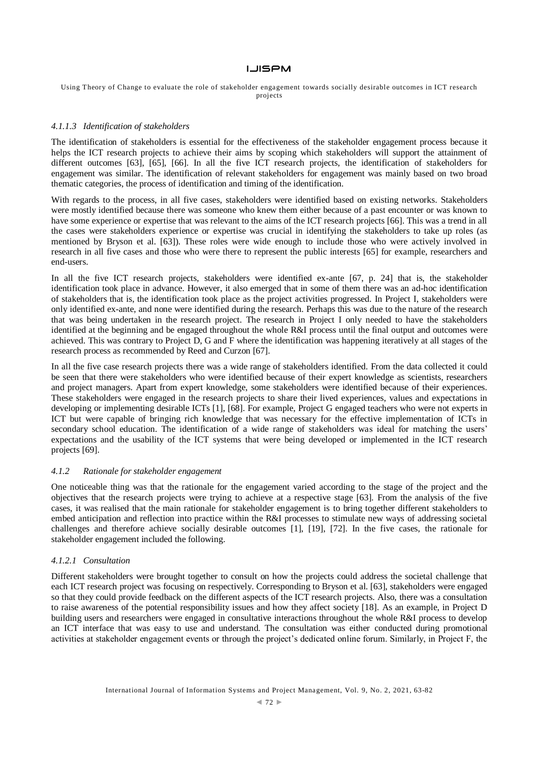Using Theory of Change to evaluate the role of stakeholder engagement towards socially desirable outcomes in ICT research projects

## *4.1.1.3 Identification of stakeholders*

The identification of stakeholders is essential for the effectiveness of the stakeholder engagement process because it helps the ICT research projects to achieve their aims by scoping which stakeholders will support the attainment of different outcomes [63], [65], [66]. In all the five ICT research projects, the identification of stakeholders for engagement was similar. The identification of relevant stakeholders for engagement was mainly based on two broad thematic categories, the process of identification and timing of the identification.

With regards to the process, in all five cases, stakeholders were identified based on existing networks. Stakeholders were mostly identified because there was someone who knew them either because of a past encounter or was known to have some experience or expertise that was relevant to the aims of the ICT research projects [66]. This was a trend in all the cases were stakeholders experience or expertise was crucial in identifying the stakeholders to take up roles (as mentioned by Bryson et al. [63]). These roles were wide enough to include those who were actively involved in research in all five cases and those who were there to represent the public interests [65] for example, researchers and end-users.

In all the five ICT research projects, stakeholders were identified ex-ante [67, p. 24] that is, the stakeholder identification took place in advance. However, it also emerged that in some of them there was an ad-hoc identification of stakeholders that is, the identification took place as the project activities progressed. In Project I, stakeholders were only identified ex-ante, and none were identified during the research. Perhaps this was due to the nature of the research that was being undertaken in the research project. The research in Project I only needed to have the stakeholders identified at the beginning and be engaged throughout the whole R&I process until the final output and outcomes were achieved. This was contrary to Project D, G and F where the identification was happening iteratively at all stages of the research process as recommended by Reed and Curzon [67].

In all the five case research projects there was a wide range of stakeholders identified. From the data collected it could be seen that there were stakeholders who were identified because of their expert knowledge as scientists, researchers and project managers. Apart from expert knowledge, some stakeholders were identified because of their experiences. These stakeholders were engaged in the research projects to share their lived experiences, values and expectations in developing or implementing desirable ICTs [1], [68]. For example, Project G engaged teachers who were not experts in ICT but were capable of bringing rich knowledge that was necessary for the effective implementation of ICTs in secondary school education. The identification of a wide range of stakeholders was ideal for matching the users' expectations and the usability of the ICT systems that were being developed or implemented in the ICT research projects [69].

## *4.1.2 Rationale for stakeholder engagement*

One noticeable thing was that the rationale for the engagement varied according to the stage of the project and the objectives that the research projects were trying to achieve at a respective stage [63]. From the analysis of the five cases, it was realised that the main rationale for stakeholder engagement is to bring together different stakeholders to embed anticipation and reflection into practice within the R&I processes to stimulate new ways of addressing societal challenges and therefore achieve socially desirable outcomes [1], [19], [72]. In the five cases, the rationale for stakeholder engagement included the following.

## *4.1.2.1 Consultation*

Different stakeholders were brought together to consult on how the projects could address the societal challenge that each ICT research project was focusing on respectively. Corresponding to Bryson et al. [63], stakeholders were engaged so that they could provide feedback on the different aspects of the ICT research projects. Also, there was a consultation to raise awareness of the potential responsibility issues and how they affect society [18]. As an example, in Project D building users and researchers were engaged in consultative interactions throughout the whole R&I process to develop an ICT interface that was easy to use and understand. The consultation was either conducted during promotional activities at stakeholder engagement events or through the project's dedicated online forum. Similarly, in Project F, the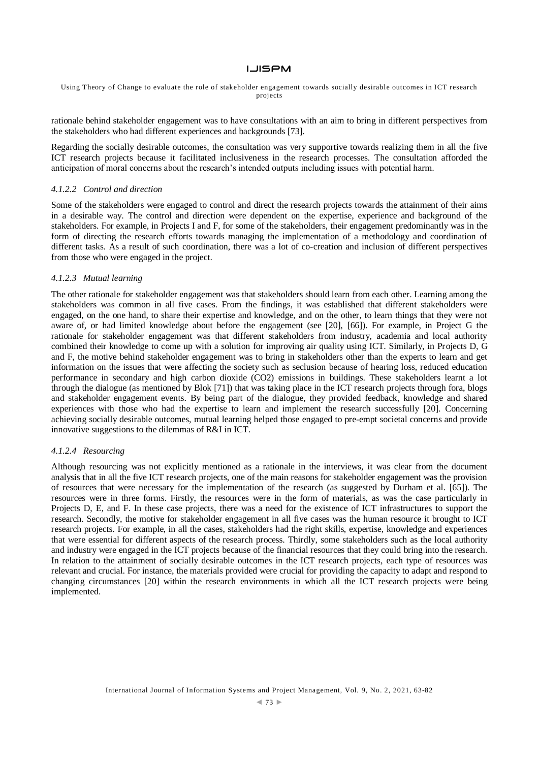Using Theory of Change to evaluate the role of stakeholder engagement towards socially desirable outcomes in ICT research projects

rationale behind stakeholder engagement was to have consultations with an aim to bring in different perspectives from the stakeholders who had different experiences and backgrounds [73].

Regarding the socially desirable outcomes, the consultation was very supportive towards realizing them in all the five ICT research projects because it facilitated inclusiveness in the research processes. The consultation afforded the anticipation of moral concerns about the research's intended outputs including issues with potential harm.

## *4.1.2.2 Control and direction*

Some of the stakeholders were engaged to control and direct the research projects towards the attainment of their aims in a desirable way. The control and direction were dependent on the expertise, experience and background of the stakeholders. For example, in Projects I and F, for some of the stakeholders, their engagement predominantly was in the form of directing the research efforts towards managing the implementation of a methodology and coordination of different tasks. As a result of such coordination, there was a lot of co-creation and inclusion of different perspectives from those who were engaged in the project.

## *4.1.2.3 Mutual learning*

The other rationale for stakeholder engagement was that stakeholders should learn from each other. Learning among the stakeholders was common in all five cases. From the findings, it was established that different stakeholders were engaged, on the one hand, to share their expertise and knowledge, and on the other, to learn things that they were not aware of, or had limited knowledge about before the engagement (see [20], [66]). For example, in Project G the rationale for stakeholder engagement was that different stakeholders from industry, academia and local authority combined their knowledge to come up with a solution for improving air quality using ICT. Similarly, in Projects D, G and F, the motive behind stakeholder engagement was to bring in stakeholders other than the experts to learn and get information on the issues that were affecting the society such as seclusion because of hearing loss, reduced education performance in secondary and high carbon dioxide (CO2) emissions in buildings. These stakeholders learnt a lot through the dialogue (as mentioned by Blok [71]) that was taking place in the ICT research projects through fora, blogs and stakeholder engagement events. By being part of the dialogue, they provided feedback, knowledge and shared experiences with those who had the expertise to learn and implement the research successfully [20]. Concerning achieving socially desirable outcomes, mutual learning helped those engaged to pre-empt societal concerns and provide innovative suggestions to the dilemmas of R&I in ICT.

## *4.1.2.4 Resourcing*

Although resourcing was not explicitly mentioned as a rationale in the interviews, it was clear from the document analysis that in all the five ICT research projects, one of the main reasons for stakeholder engagement was the provision of resources that were necessary for the implementation of the research (as suggested by Durham et al. [65]). The resources were in three forms. Firstly, the resources were in the form of materials, as was the case particularly in Projects D, E, and F. In these case projects, there was a need for the existence of ICT infrastructures to support the research. Secondly, the motive for stakeholder engagement in all five cases was the human resource it brought to ICT research projects. For example, in all the cases, stakeholders had the right skills, expertise, knowledge and experiences that were essential for different aspects of the research process. Thirdly, some stakeholders such as the local authority and industry were engaged in the ICT projects because of the financial resources that they could bring into the research. In relation to the attainment of socially desirable outcomes in the ICT research projects, each type of resources was relevant and crucial. For instance, the materials provided were crucial for providing the capacity to adapt and respond to changing circumstances [20] within the research environments in which all the ICT research projects were being implemented.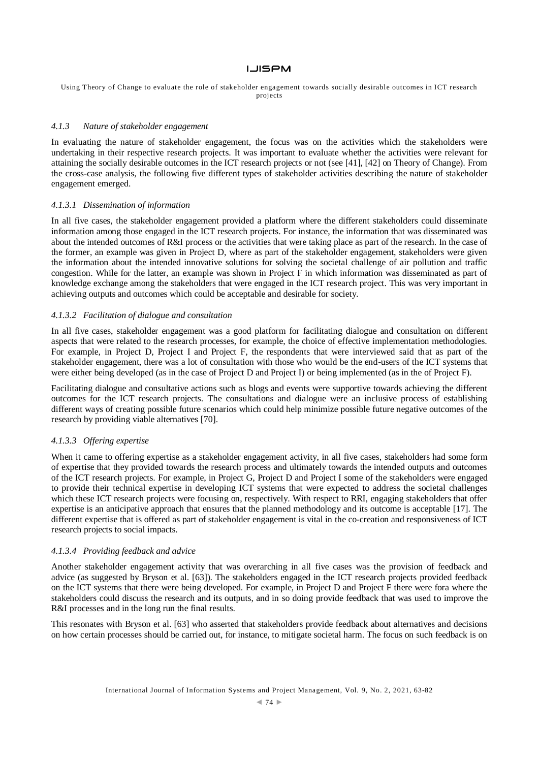Using Theory of Change to evaluate the role of stakeholder engagement towards socially desirable outcomes in ICT research projects

#### *4.1.3 Nature of stakeholder engagement*

In evaluating the nature of stakeholder engagement, the focus was on the activities which the stakeholders were undertaking in their respective research projects. It was important to evaluate whether the activities were relevant for attaining the socially desirable outcomes in the ICT research projects or not (see [41], [42] on Theory of Change). From the cross-case analysis, the following five different types of stakeholder activities describing the nature of stakeholder engagement emerged.

#### *4.1.3.1 Dissemination of information*

In all five cases, the stakeholder engagement provided a platform where the different stakeholders could disseminate information among those engaged in the ICT research projects. For instance, the information that was disseminated was about the intended outcomes of R&I process or the activities that were taking place as part of the research. In the case of the former, an example was given in Project D, where as part of the stakeholder engagement, stakeholders were given the information about the intended innovative solutions for solving the societal challenge of air pollution and traffic congestion. While for the latter, an example was shown in Project F in which information was disseminated as part of knowledge exchange among the stakeholders that were engaged in the ICT research project. This was very important in achieving outputs and outcomes which could be acceptable and desirable for society.

# *4.1.3.2 Facilitation of dialogue and consultation*

In all five cases, stakeholder engagement was a good platform for facilitating dialogue and consultation on different aspects that were related to the research processes, for example, the choice of effective implementation methodologies. For example, in Project D, Project I and Project F, the respondents that were interviewed said that as part of the stakeholder engagement, there was a lot of consultation with those who would be the end-users of the ICT systems that were either being developed (as in the case of Project D and Project I) or being implemented (as in the of Project F).

Facilitating dialogue and consultative actions such as blogs and events were supportive towards achieving the different outcomes for the ICT research projects. The consultations and dialogue were an inclusive process of establishing different ways of creating possible future scenarios which could help minimize possible future negative outcomes of the research by providing viable alternatives [70].

# *4.1.3.3 Offering expertise*

When it came to offering expertise as a stakeholder engagement activity, in all five cases, stakeholders had some form of expertise that they provided towards the research process and ultimately towards the intended outputs and outcomes of the ICT research projects. For example, in Project G, Project D and Project I some of the stakeholders were engaged to provide their technical expertise in developing ICT systems that were expected to address the societal challenges which these ICT research projects were focusing on, respectively. With respect to RRI, engaging stakeholders that offer expertise is an anticipative approach that ensures that the planned methodology and its outcome is acceptable [17]. The different expertise that is offered as part of stakeholder engagement is vital in the co-creation and responsiveness of ICT research projects to social impacts.

#### *4.1.3.4 Providing feedback and advice*

Another stakeholder engagement activity that was overarching in all five cases was the provision of feedback and advice (as suggested by Bryson et al. [63]). The stakeholders engaged in the ICT research projects provided feedback on the ICT systems that there were being developed. For example, in Project D and Project F there were fora where the stakeholders could discuss the research and its outputs, and in so doing provide feedback that was used to improve the R&I processes and in the long run the final results.

This resonates with Bryson et al. [63] who asserted that stakeholders provide feedback about alternatives and decisions on how certain processes should be carried out, for instance, to mitigate societal harm. The focus on such feedback is on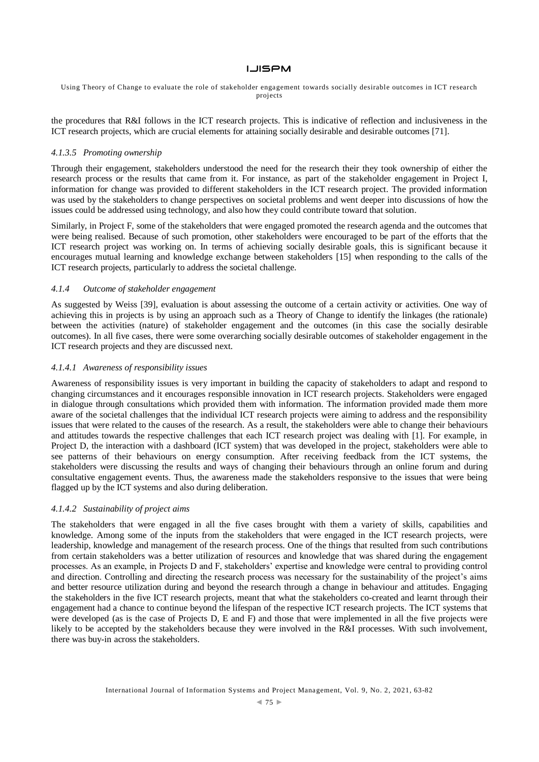Using Theory of Change to evaluate the role of stakeholder engagement towards socially desirable outcomes in ICT research projects

the procedures that R&I follows in the ICT research projects. This is indicative of reflection and inclusiveness in the ICT research projects, which are crucial elements for attaining socially desirable and desirable outcomes [71].

# *4.1.3.5 Promoting ownership*

Through their engagement, stakeholders understood the need for the research their they took ownership of either the research process or the results that came from it. For instance, as part of the stakeholder engagement in Project I, information for change was provided to different stakeholders in the ICT research project. The provided information was used by the stakeholders to change perspectives on societal problems and went deeper into discussions of how the issues could be addressed using technology, and also how they could contribute toward that solution.

Similarly, in Project F, some of the stakeholders that were engaged promoted the research agenda and the outcomes that were being realised. Because of such promotion, other stakeholders were encouraged to be part of the efforts that the ICT research project was working on. In terms of achieving socially desirable goals, this is significant because it encourages mutual learning and knowledge exchange between stakeholders [15] when responding to the calls of the ICT research projects, particularly to address the societal challenge.

## *4.1.4 Outcome of stakeholder engagement*

As suggested by Weiss [39], evaluation is about assessing the outcome of a certain activity or activities. One way of achieving this in projects is by using an approach such as a Theory of Change to identify the linkages (the rationale) between the activities (nature) of stakeholder engagement and the outcomes (in this case the socially desirable outcomes). In all five cases, there were some overarching socially desirable outcomes of stakeholder engagement in the ICT research projects and they are discussed next.

#### *4.1.4.1 Awareness of responsibility issues*

Awareness of responsibility issues is very important in building the capacity of stakeholders to adapt and respond to changing circumstances and it encourages responsible innovation in ICT research projects. Stakeholders were engaged in dialogue through consultations which provided them with information. The information provided made them more aware of the societal challenges that the individual ICT research projects were aiming to address and the responsibility issues that were related to the causes of the research. As a result, the stakeholders were able to change their behaviours and attitudes towards the respective challenges that each ICT research project was dealing with [1]. For example, in Project D, the interaction with a dashboard (ICT system) that was developed in the project, stakeholders were able to see patterns of their behaviours on energy consumption. After receiving feedback from the ICT systems, the stakeholders were discussing the results and ways of changing their behaviours through an online forum and during consultative engagement events. Thus, the awareness made the stakeholders responsive to the issues that were being flagged up by the ICT systems and also during deliberation.

## *4.1.4.2 Sustainability of project aims*

The stakeholders that were engaged in all the five cases brought with them a variety of skills, capabilities and knowledge. Among some of the inputs from the stakeholders that were engaged in the ICT research projects, were leadership, knowledge and management of the research process. One of the things that resulted from such contributions from certain stakeholders was a better utilization of resources and knowledge that was shared during the engagement processes. As an example, in Projects D and F, stakeholders' expertise and knowledge were central to providing control and direction. Controlling and directing the research process was necessary for the sustainability of the project's aims and better resource utilization during and beyond the research through a change in behaviour and attitudes. Engaging the stakeholders in the five ICT research projects, meant that what the stakeholders co-created and learnt through their engagement had a chance to continue beyond the lifespan of the respective ICT research projects. The ICT systems that were developed (as is the case of Projects D, E and F) and those that were implemented in all the five projects were likely to be accepted by the stakeholders because they were involved in the R&I processes. With such involvement, there was buy-in across the stakeholders.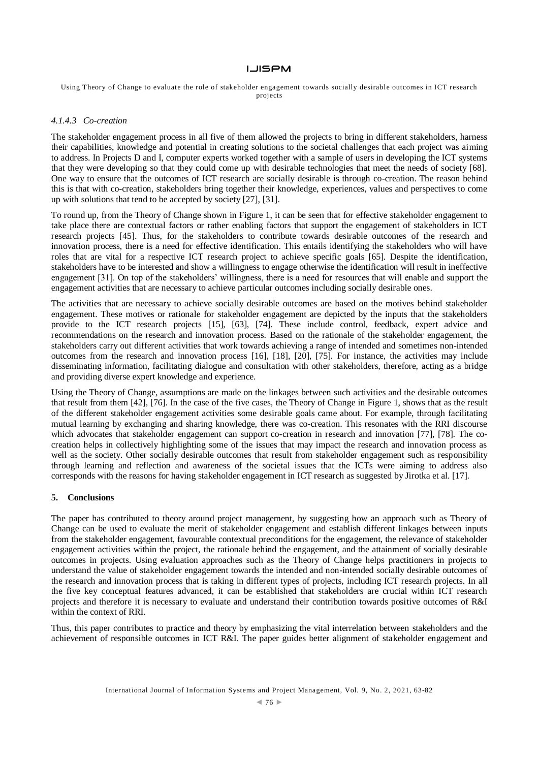Using Theory of Change to evaluate the role of stakeholder engagement towards socially desirable outcomes in ICT research projects

#### *4.1.4.3 Co-creation*

The stakeholder engagement process in all five of them allowed the projects to bring in different stakeholders, harness their capabilities, knowledge and potential in creating solutions to the societal challenges that each project was aiming to address. In Projects D and I, computer experts worked together with a sample of users in developing the ICT systems that they were developing so that they could come up with desirable technologies that meet the needs of society [68]. One way to ensure that the outcomes of ICT research are socially desirable is through co-creation. The reason behind this is that with co-creation, stakeholders bring together their knowledge, experiences, values and perspectives to come up with solutions that tend to be accepted by society [27], [31].

To round up, from the Theory of Change shown in Figure 1, it can be seen that for effective stakeholder engagement to take place there are contextual factors or rather enabling factors that support the engagement of stakeholders in ICT research projects [45]. Thus, for the stakeholders to contribute towards desirable outcomes of the research and innovation process, there is a need for effective identification. This entails identifying the stakeholders who will have roles that are vital for a respective ICT research project to achieve specific goals [65]. Despite the identification, stakeholders have to be interested and show a willingness to engage otherwise the identification will result in ineffective engagement [31]. On top of the stakeholders' willingness, there is a need for resources that will enable and support the engagement activities that are necessary to achieve particular outcomes including socially desirable ones.

The activities that are necessary to achieve socially desirable outcomes are based on the motives behind stakeholder engagement. These motives or rationale for stakeholder engagement are depicted by the inputs that the stakeholders provide to the ICT research projects [15], [63], [74]. These include control, feedback, expert advice and recommendations on the research and innovation process. Based on the rationale of the stakeholder engagement, the stakeholders carry out different activities that work towards achieving a range of intended and sometimes non-intended outcomes from the research and innovation process [16], [18], [20], [75]. For instance, the activities may include disseminating information, facilitating dialogue and consultation with other stakeholders, therefore, acting as a bridge and providing diverse expert knowledge and experience.

Using the Theory of Change, assumptions are made on the linkages between such activities and the desirable outcomes that result from them [42], [76]. In the case of the five cases, the Theory of Change in Figure 1, shows that as the result of the different stakeholder engagement activities some desirable goals came about. For example, through facilitating mutual learning by exchanging and sharing knowledge, there was co-creation. This resonates with the RRI discourse which advocates that stakeholder engagement can support co-creation in research and innovation [77], [78]. The cocreation helps in collectively highlighting some of the issues that may impact the research and innovation process as well as the society. Other socially desirable outcomes that result from stakeholder engagement such as responsibility through learning and reflection and awareness of the societal issues that the ICTs were aiming to address also corresponds with the reasons for having stakeholder engagement in ICT research as suggested by Jirotka et al. [17].

#### **5. Conclusions**

The paper has contributed to theory around project management, by suggesting how an approach such as Theory of Change can be used to evaluate the merit of stakeholder engagement and establish different linkages between inputs from the stakeholder engagement, favourable contextual preconditions for the engagement, the relevance of stakeholder engagement activities within the project, the rationale behind the engagement, and the attainment of socially desirable outcomes in projects. Using evaluation approaches such as the Theory of Change helps practitioners in projects to understand the value of stakeholder engagement towards the intended and non-intended socially desirable outcomes of the research and innovation process that is taking in different types of projects, including ICT research projects. In all the five key conceptual features advanced, it can be established that stakeholders are crucial within ICT research projects and therefore it is necessary to evaluate and understand their contribution towards positive outcomes of R&I within the context of RRI.

Thus, this paper contributes to practice and theory by emphasizing the vital interrelation between stakeholders and the achievement of responsible outcomes in ICT R&I. The paper guides better alignment of stakeholder engagement and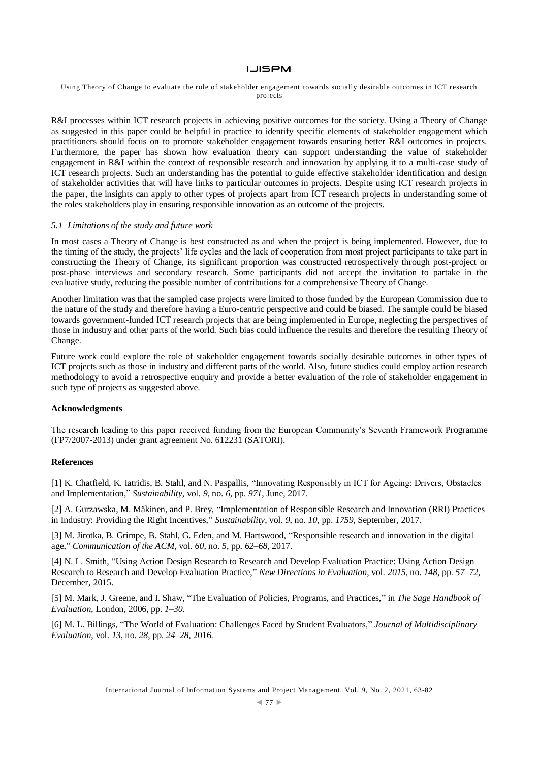#### Using Theory of Change to evaluate the role of stakeholder engagement towards socially desirable outcomes in ICT research projects

R&I processes within ICT research projects in achieving positive outcomes for the society. Using a Theory of Change as suggested in this paper could be helpful in practice to identify specific elements of stakeholder engagement which practitioners should focus on to promote stakeholder engagement towards ensuring better R&I outcomes in projects. Furthermore, the paper has shown how evaluation theory can support understanding the value of stakeholder engagement in R&I within the context of responsible research and innovation by applying it to a multi-case study of ICT research projects. Such an understanding has the potential to guide effective stakeholder identification and design of stakeholder activities that will have links to particular outcomes in projects. Despite using ICT research projects in the paper, the insights can apply to other types of projects apart from ICT research projects in understanding some of the roles stakeholders play in ensuring responsible innovation as an outcome of the projects.

#### *5.1 Limitations of the study and future work*

In most cases a Theory of Change is best constructed as and when the project is being implemented. However, due to the timing of the study, the projects' life cycles and the lack of cooperation from most project participants to take part in constructing the Theory of Change, its significant proportion was constructed retrospectively through post-project or post-phase interviews and secondary research. Some participants did not accept the invitation to partake in the evaluative study, reducing the possible number of contributions for a comprehensive Theory of Change.

Another limitation was that the sampled case projects were limited to those funded by the European Commission due to the nature of the study and therefore having a Euro-centric perspective and could be biased. The sample could be biased towards government-funded ICT research projects that are being implemented in Europe, neglecting the perspectives of those in industry and other parts of the world. Such bias could influence the results and therefore the resulting Theory of Change.

Future work could explore the role of stakeholder engagement towards socially desirable outcomes in other types of ICT projects such as those in industry and different parts of the world. Also, future studies could employ action research methodology to avoid a retrospective enquiry and provide a better evaluation of the role of stakeholder engagement in such type of projects as suggested above.

#### **Acknowledgments**

The research leading to this paper received funding from the European Community's Seventh Framework Programme (FP7/2007-2013) under grant agreement No. 612231 (SATORI).

#### **References**

[1] K. Chatfield, K. Iatridis, B. Stahl, and N. Paspallis, "Innovating Responsibly in ICT for Ageing: Drivers, Obstacles and Implementation," *Sustainability*, vol. *9*, no. *6*, pp. *971*, June, 2017.

[2] A. Gurzawska, M. Mäkinen, and P. Brey, "Implementation of Responsible Research and Innovation (RRI) Practices in Industry: Providing the Right Incentives," *Sustainability*, vol. *9*, no. *10*, pp. *1759*, September, 2017.

[3] M. Jirotka, B. Grimpe, B. Stahl, G. Eden, and M. Hartswood, "Responsible research and innovation in the digital age," *Communication of the ACM*, vol. *60*, no. *5*, pp. *62–68*, 2017.

[4] N. L. Smith, "Using Action Design Research to Research and Develop Evaluation Practice: Using Action Design Research to Research and Develop Evaluation Practice," *New Directions in Evaluation*, vol. *2015*, no. *148*, pp. *57–72*, December, 2015.

[5] M. Mark, J. Greene, and I. Shaw, "The Evaluation of Policies, Programs, and Practices," in *The Sage Handbook of Evaluation,* London, 2006, pp. *1–30*.

[6] M. L. Billings, "The World of Evaluation: Challenges Faced by Student Evaluators," *Journal of Multidisciplinary Evaluation*, vol. *13*, no. *28*, pp. *24–28*, 2016.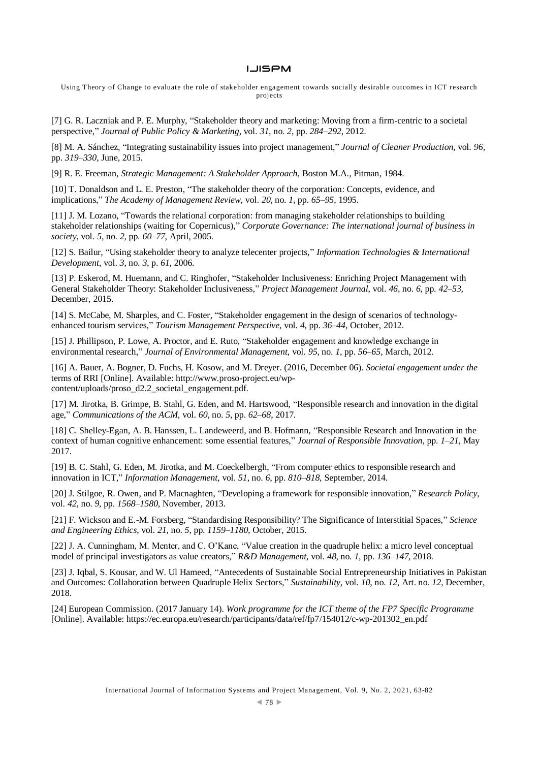Using Theory of Change to evaluate the role of stakeholder engagement towards socially desirable outcomes in ICT research projects

[7] G. R. Laczniak and P. E. Murphy, "Stakeholder theory and marketing: Moving from a firm-centric to a societal perspective," *Journal of Public Policy & Marketing*, vol. *31*, no. *2*, pp. *284–292*, 2012.

[8] M. A. Sánchez, "Integrating sustainability issues into project management," *Journal of Cleaner Production*, vol. *96*, pp. *319–330*, June, 2015.

[9] R. E. Freeman, *Strategic Management: A Stakeholder Approach,* Boston M.A., Pitman, 1984.

[10] T. Donaldson and L. E. Preston, "The stakeholder theory of the corporation: Concepts, evidence, and implications," *The Academy of Management Review*, vol. *20,* no. *1*, pp. *65–95*, 1995.

[11] J. M. Lozano, "Towards the relational corporation: from managing stakeholder relationships to building stakeholder relationships (waiting for Copernicus)," *Corporate Governance: The international journal of business in society*, vol. *5*, no. *2*, pp. *60–77*, April, 2005.

[12] S. Bailur, "Using stakeholder theory to analyze telecenter projects," *Information Technologies & International Development*, vol. *3*, no. *3*, p. *61*, 2006.

[13] P. Eskerod, M. Huemann, and C. Ringhofer, "Stakeholder Inclusiveness: Enriching Project Management with General Stakeholder Theory: Stakeholder Inclusiveness," *Project Management Journal*, vol. *46*, no. *6*, pp. *42–53*, December, 2015.

[14] S. McCabe, M. Sharples, and C. Foster, "Stakeholder engagement in the design of scenarios of technologyenhanced tourism services," *Tourism Management Perspective*, vol. *4*, pp. *36–44*, October, 2012.

[15] J. Phillipson, P. Lowe, A. Proctor, and E. Ruto, "Stakeholder engagement and knowledge exchange in environmental research," *Journal of Environmental Management*, vol. *95*, no. *1*, pp. *56–65*, March, 2012.

[16] A. Bauer, A. Bogner, D. Fuchs, H. Kosow, and M. Dreyer. (2016, December 06). *Societal engagement under the*  terms of RRI [Online]. Available: http://www.proso-project.eu/wpcontent/uploads/proso\_d2.2\_societal\_engagement.pdf.

[17] M. Jirotka, B. Grimpe, B. Stahl, G. Eden, and M. Hartswood, "Responsible research and innovation in the digital age," *Communications of the ACM,* vol. *60*, no. *5*, pp. *62–68*, 2017.

[18] C. Shelley-Egan, A. B. Hanssen, L. Landeweerd, and B. Hofmann, "Responsible Research and Innovation in the context of human cognitive enhancement: some essential features," *Journal of Responsible Innovation*, pp. *1–21*, May 2017.

[19] B. C. Stahl, G. Eden, M. Jirotka, and M. Coeckelbergh, "From computer ethics to responsible research and innovation in ICT," *Information Management*, vol. *51*, no. *6*, pp. *810–818*, September, 2014.

[20] J. Stilgoe, R. Owen, and P. Macnaghten, "Developing a framework for responsible innovation," *Research Policy*, vol. *42*, no. *9*, pp. *1568–1580*, November, 2013.

[21] F. Wickson and E.-M. Forsberg, "Standardising Responsibility? The Significance of Interstitial Spaces," *Science and Engineering Ethics*, vol. *21*, no. *5*, pp. *1159–1180*, October, 2015.

[22] J. A. Cunningham, M. Menter, and C. O'Kane, "Value creation in the quadruple helix: a micro level conceptual model of principal investigators as value creators," *R&D Management*, vol. *48*, no. *1*, pp. *136–147,* 2018.

[23] J. Iqbal, S. Kousar, and W. Ul Hameed, "Antecedents of Sustainable Social Entrepreneurship Initiatives in Pakistan and Outcomes: Collaboration between Quadruple Helix Sectors," *Sustainability,* vol. *10*, no. *12*, Art. no. *12*, December, 2018.

[24] European Commission. (2017 January 14). *Work programme for the ICT theme of the FP7 Specific Programme* [Online]. Available: https://ec.europa.eu/research/participants/data/ref/fp7/154012/c-wp-201302\_en.pdf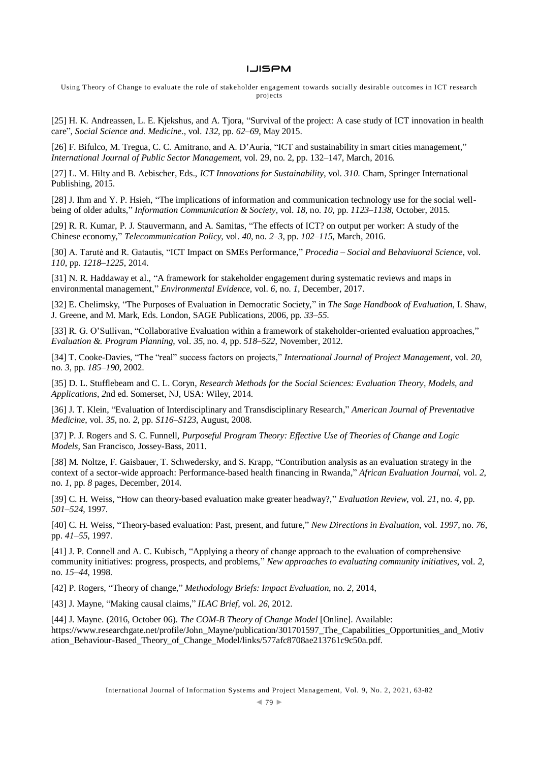Using Theory of Change to evaluate the role of stakeholder engagement towards socially desirable outcomes in ICT research projects

[25] H. K. Andreassen, L. E. Kjekshus, and A. Tjora, "Survival of the project: A case study of ICT innovation in health care", *Social Science and. Medicine.*, vol. *132*, pp. *62–69*, May 2015.

[26] F. Bifulco, M. Tregua, C. C. Amitrano, and A. D'Auria, "ICT and sustainability in smart cities management," *International Journal of Public Sector Management*, vol. 29, no. 2, pp. 132–147, March, 2016.

[27] L. M. Hilty and B. Aebischer, Eds., *ICT Innovations for Sustainability*, vol. *310*. Cham, Springer International Publishing, 2015.

[28] J. Ihm and Y. P. Hsieh, "The implications of information and communication technology use for the social wellbeing of older adults," *Information Communication & Society,* vol. *18,* no. *10*, pp. *1123–1138,* October, 2015.

[29] R. R. Kumar, P. J. Stauvermann, and A. Samitas, "The effects of ICT? on output per worker: A study of the Chinese economy," *Telecommunication Policy*, vol. *40*, no. *2–3*, pp. *102–115*, March, 2016.

[30] A. Tarutė and R. Gatautis, "ICT Impact on SMEs Performance," *Procedia – Social and Behaviuoral Science*, vol. *110*, pp. *1218–1225*, 2014.

[31] N. R. Haddaway et al., "A framework for stakeholder engagement during systematic reviews and maps in environmental management," *Environmental Evidence*, vol. *6*, no. *1*, December, 2017.

[32] E. Chelimsky, "The Purposes of Evaluation in Democratic Society," in *The Sage Handbook of Evaluation*, I. Shaw, J. Greene, and M. Mark, Eds. London, SAGE Publications, 2006, pp. *33–55*.

[33] R. G. O'Sullivan, "Collaborative Evaluation within a framework of stakeholder-oriented evaluation approaches," *Evaluation &. Program Planning*, vol. *35*, no. *4*, pp. *518–522*, November, 2012.

[34] T. Cooke-Davies, "The "real" success factors on projects," *International Journal of Project Management*, vol. *20*, no. *3*, pp. *185–190*, 2002.

[35] D. L. Stufflebeam and C. L. Coryn, *Research Methods for the Social Sciences: Evaluation Theory, Models, and Applications*, *2*nd ed. Somerset, NJ, USA: Wiley, 2014.

[36] J. T. Klein, "Evaluation of Interdisciplinary and Transdisciplinary Research," *American Journal of Preventative Medicine*, vol. *35*, no. *2*, pp. *S116–S123*, August, 2008.

[37] P. J. Rogers and S. C. Funnell, *Purposeful Program Theory: Effective Use of Theories of Change and Logic Models*, San Francisco, Jossey-Bass, 2011.

[38] M. Noltze, F. Gaisbauer, T. Schwedersky, and S. Krapp, "Contribution analysis as an evaluation strategy in the context of a sector-wide approach: Performance-based health financing in Rwanda," *African Evaluation Journal*, vol. *2*, no. *1*, pp. *8* pages, December, 2014.

[39] C. H. Weiss, "How can theory-based evaluation make greater headway?," *Evaluation Review*, vol. *21*, no. *4,* pp. *501–524*, 1997.

[40] C. H. Weiss, "Theory-based evaluation: Past, present, and future," *New Directions in Evaluation*, vol. *1997*, no. *76*, pp. *41–55*, 1997.

[41] J. P. Connell and A. C. Kubisch, "Applying a theory of change approach to the evaluation of comprehensive community initiatives: progress, prospects, and problems," *New approaches to evaluating community initiatives*, vol. *2*, no. *15–44*, 1998.

[42] P. Rogers, "Theory of change," *Methodology Briefs: Impact Evaluation*, no. *2*, 2014,

[43] J. Mayne, "Making causal claims," *ILAC Brief,* vol. *26*, 2012.

[44] J. Mayne. (2016, October 06). *The COM-B Theory of Change Model* [Online]. Available: https://www.researchgate.net/profile/John\_Mayne/publication/301701597\_The\_Capabilities\_Opportunities\_and\_Motiv ation\_Behaviour-Based\_Theory\_of\_Change\_Model/links/577afc8708ae213761c9c50a.pdf.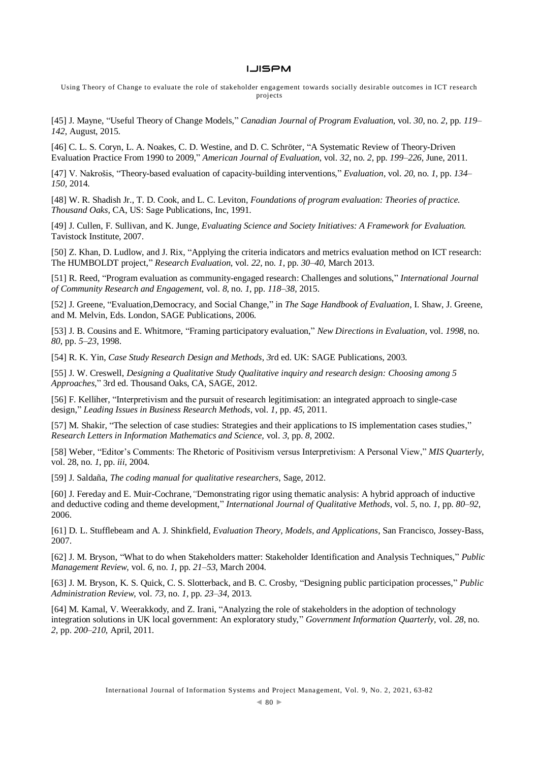Using Theory of Change to evaluate the role of stakeholder engagement towards socially desirable outcomes in ICT research projects

[45] J. Mayne, "Useful Theory of Change Models," *Canadian Journal of Program Evaluation*, vol. *30*, no. *2*, pp. *119– 142*, August, 2015.

[46] C. L. S. Coryn, L. A. Noakes, C. D. Westine, and D. C. Schröter, "A Systematic Review of Theory-Driven Evaluation Practice From 1990 to 2009," *American Journal of Evaluation*, vol. *32*, no. *2*, pp. *199–226*, June, 2011.

[47] V. Nakrošis, "Theory-based evaluation of capacity-building interventions," *Evaluation*, vol. *20*, no. *1*, pp. *134– 150,* 2014.

[48] W. R. Shadish Jr., T. D. Cook, and L. C. Leviton, *Foundations of program evaluation: Theories of practice. Thousand Oaks,* CA, US: Sage Publications, Inc, 1991.

[49] J. Cullen, F. Sullivan, and K. Junge, *Evaluating Science and Society Initiatives: A Framework for Evaluation.* Tavistock Institute, 2007.

[50] Z. Khan, D. Ludlow, and J. Rix, "Applying the criteria indicators and metrics evaluation method on ICT research: The HUMBOLDT project," *Research Evaluation*, vol. *22,* no. *1*, pp. *30–40*, March 2013.

[51] R. Reed, "Program evaluation as community-engaged research: Challenges and solutions," *International Journal of Community Research and Engagement*, vol. *8*, no. *1*, pp. *118–38*, 2015.

[52] J. Greene, "Evaluation,Democracy, and Social Change," in *The Sage Handbook of Evaluation*, I. Shaw, J. Greene, and M. Melvin, Eds. London, SAGE Publications, 2006.

[53] J. B. Cousins and E. Whitmore, "Framing participatory evaluation," *New Directions in Evaluation*, vol. *1998*, no. *80*, pp. *5–23*, 1998.

[54] R. K. Yin, *Case Study Research Design and Methods*, *3*rd ed. UK: SAGE Publications, 2003.

[55] J. W. Creswell, *Designing a Qualitative Study Qualitative inquiry and research design: Choosing among 5 Approaches*," 3rd ed. Thousand Oaks, CA, SAGE, 2012.

[56] F. Kelliher, "Interpretivism and the pursuit of research legitimisation: an integrated approach to single-case design," *Leading Issues in Business Research Methods*, vol. *1*, pp. *45*, 2011.

[57] M. Shakir, "The selection of case studies: Strategies and their applications to IS implementation cases studies," *Research Letters in Information Mathematics and Science,* vol. *3*, pp. *8*, 2002.

[58] Weber, "Editor's Comments: The Rhetoric of Positivism versus Interpretivism: A Personal View," *MIS Quarterly*, vol. 28, no. *1*, pp. *iii*, 2004.

[59] J. Saldaña, *The coding manual for qualitative researchers*, Sage, 2012.

[60] J. Fereday and E. Muir-Cochrane,*"*Demonstrating rigor using thematic analysis: A hybrid approach of inductive and deductive coding and theme development," *International Journal of Qualitative Methods*, vol. *5*, no. *1*, pp. *80–92*, 2006.

[61] D. L. Stufflebeam and A. J. Shinkfield, *Evaluation Theory, Models, and Applications*, San Francisco, Jossey-Bass, 2007.

[62] J. M. Bryson, "What to do when Stakeholders matter: Stakeholder Identification and Analysis Techniques," *Public Management Review*, vol. *6*, no. *1*, pp. *21–53*, March 2004.

[63] J. M. Bryson, K. S. Quick, C. S. Slotterback, and B. C. Crosby, "Designing public participation processes," *Public Administration Review*, vol. *73*, no. *1*, pp. *23–34*, 2013.

[64] M. Kamal, V. Weerakkody, and Z. Irani, "Analyzing the role of stakeholders in the adoption of technology integration solutions in UK local government: An exploratory study," *Government Information Quarterly*, vol. *28*, no. *2*, pp. *200–210*, April, 2011.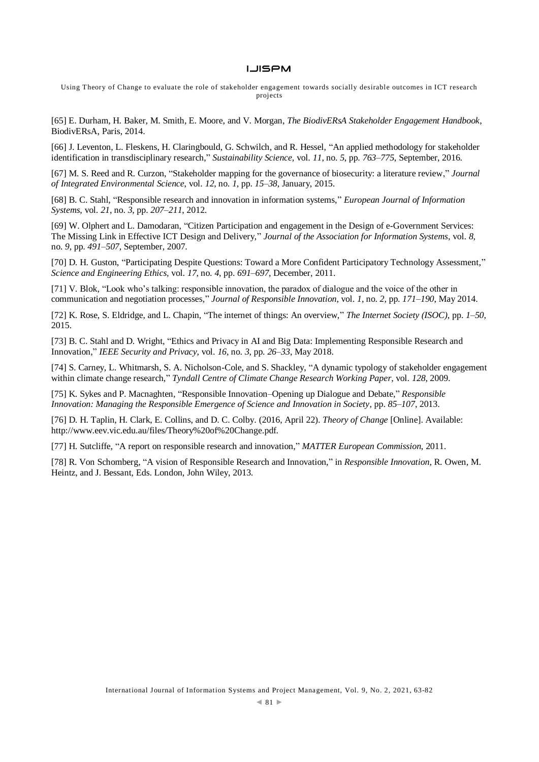Using Theory of Change to evaluate the role of stakeholder engagement towards socially desirable outcomes in ICT research projects

[65] E. Durham, H. Baker, M. Smith, E. Moore, and V. Morgan, *The BiodivERsA Stakeholder Engagement Handbook*, BiodivERsA, Paris, 2014.

[66] J. Leventon, L. Fleskens, H. Claringbould, G. Schwilch, and R. Hessel, "An applied methodology for stakeholder identification in transdisciplinary research," *Sustainability Science*, vol. *11*, no. *5*, pp. *763–775*, September, 2016.

[67] M. S. Reed and R. Curzon, "Stakeholder mapping for the governance of biosecurity: a literature review," *Journal of Integrated Environmental Science*, vol. *12*, no. *1*, pp. *15–38*, January, 2015.

[68] B. C. Stahl, "Responsible research and innovation in information systems," *European Journal of Information Systems*, vol. *21*, no. *3*, pp. *207–211*, 2012.

[69] W. Olphert and L. Damodaran, "Citizen Participation and engagement in the Design of e-Government Services: The Missing Link in Effective ICT Design and Delivery," *Journal of the Association for Information Systems*, vol. *8,* no. *9*, pp. *491–507*, September, 2007.

[70] D. H. Guston, "Participating Despite Questions: Toward a More Confident Participatory Technology Assessment," *Science and Engineering Ethics,* vol. *17*, no. *4*, pp. *691–697*, December, 2011.

[71] V. Blok, "Look who's talking: responsible innovation, the paradox of dialogue and the voice of the other in communication and negotiation processes," *Journal of Responsible Innovation*, vol. *1*, no. *2*, pp. *171–190*, May 2014.

[72] K. Rose, S. Eldridge, and L. Chapin, "The internet of things: An overview," *The Internet Society (ISOC)*, pp. *1–50*, 2015.

[73] B. C. Stahl and D. Wright, "Ethics and Privacy in AI and Big Data: Implementing Responsible Research and Innovation," *IEEE Security and Privacy*, vol. *16*, no. *3*, pp. *26–33*, May 2018.

[74] S. Carney, L. Whitmarsh, S. A. Nicholson-Cole, and S. Shackley, "A dynamic typology of stakeholder engagement within climate change research," *Tyndall Centre of Climate Change Research Working Paper*, vol. *128*, 2009.

[75] K. Sykes and P. Macnaghten, "Responsible Innovation–Opening up Dialogue and Debate," *Responsible Innovation: Managing the Responsible Emergence of Science and Innovation in Society*, pp. *85–107*, 2013.

[76] D. H. Taplin, H. Clark, E. Collins, and D. C. Colby. (2016, April 22). *Theory of Change* [Online]. Available: http://www.eev.vic.edu.au/files/Theory%20of%20Change.pdf.

[77] H. Sutcliffe, "A report on responsible research and innovation," *MATTER European Commission*, 2011.

[78] R. Von Schomberg, "A vision of Responsible Research and Innovation," in *Responsible Innovation*, R. Owen, M. Heintz, and J. Bessant, Eds. London, John Wiley, 2013.